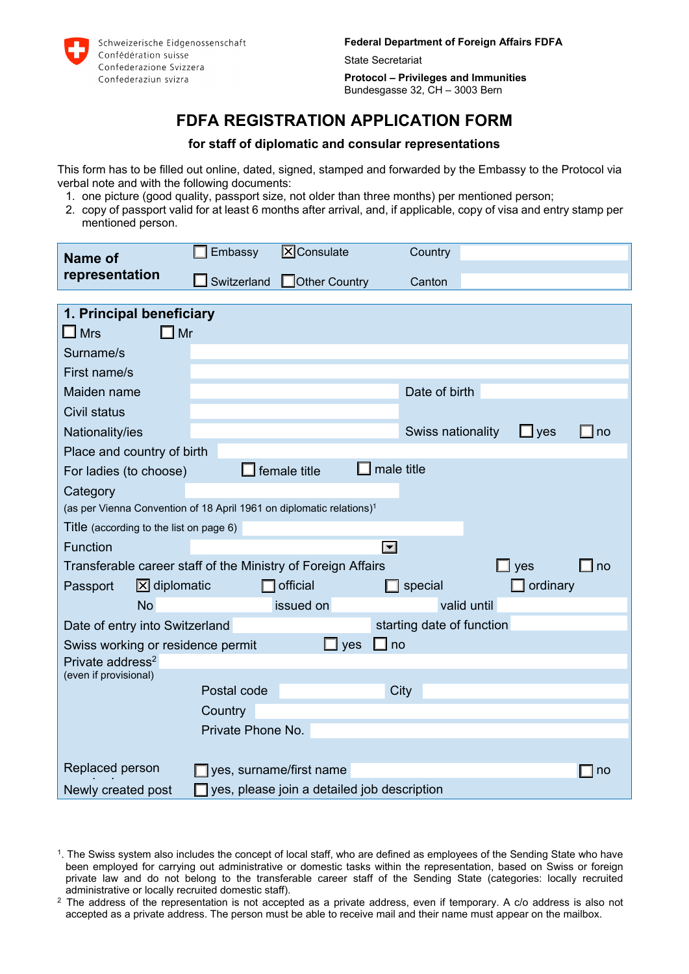

**Federal Department of Foreign Affairs FDFA** 

State Secretariat

**Protocol – Privileges and Immunities**  Bundesgasse 32, CH – 3003 Bern

# **FDFA REGISTRATION APPLICATION FORM**

## **for staff of diplomatic and consular representations**

This form has to be filled out online, dated, signed, stamped and forwarded by the Embassy to the Protocol via verbal note and with the following documents:

- 1. one picture (good quality, passport size, not older than three months) per mentioned person;
- 2. copy of passport valid for at least 6 months after arrival, and, if applicable, copy of visa and entry stamp per mentioned person.

| Name of                                                                          | Embassy                                     | $X$ Consulate           | Country                   |                                     |  |
|----------------------------------------------------------------------------------|---------------------------------------------|-------------------------|---------------------------|-------------------------------------|--|
| representation                                                                   | Switzerland                                 | <b>Other Country</b>    | Canton                    |                                     |  |
|                                                                                  |                                             |                         |                           |                                     |  |
| 1. Principal beneficiary                                                         |                                             |                         |                           |                                     |  |
| $\square$ Mr<br>$\square$ Mrs                                                    |                                             |                         |                           |                                     |  |
| Surname/s                                                                        |                                             |                         |                           |                                     |  |
| First name/s                                                                     |                                             |                         |                           |                                     |  |
| Maiden name                                                                      |                                             |                         | Date of birth             |                                     |  |
| <b>Civil status</b>                                                              |                                             |                         |                           |                                     |  |
| Nationality/ies                                                                  |                                             |                         | Swiss nationality         | $\square$ yes<br>$\square$ no       |  |
| Place and country of birth                                                       |                                             |                         |                           |                                     |  |
| For ladies (to choose)                                                           |                                             | female title            | male title                |                                     |  |
| Category                                                                         |                                             |                         |                           |                                     |  |
| (as per Vienna Convention of 18 April 1961 on diplomatic relations) <sup>1</sup> |                                             |                         |                           |                                     |  |
| Title (according to the list on page 6)                                          |                                             |                         |                           |                                     |  |
| Function                                                                         |                                             |                         | $\blacktriangleright$     |                                     |  |
| Transferable career staff of the Ministry of Foreign Affairs                     |                                             |                         |                           | $\Box$ no<br>$\mathsf{\rfloor}$ yes |  |
| $\boxtimes$ diplomatic<br>Passport                                               |                                             | official                | special                   | ordinary                            |  |
| <b>No</b>                                                                        |                                             | issued on               | valid until               |                                     |  |
| Date of entry into Switzerland                                                   |                                             |                         | starting date of function |                                     |  |
| Swiss working or residence permit                                                |                                             | yes<br>- 1              | no                        |                                     |  |
| Private address <sup>2</sup>                                                     |                                             |                         |                           |                                     |  |
| (even if provisional)                                                            |                                             |                         |                           |                                     |  |
|                                                                                  | Postal code                                 |                         | City                      |                                     |  |
|                                                                                  | Country                                     |                         |                           |                                     |  |
|                                                                                  | Private Phone No.                           |                         |                           |                                     |  |
|                                                                                  |                                             |                         |                           |                                     |  |
| Replaced person                                                                  |                                             | yes, surname/first name |                           | no                                  |  |
| Newly created post                                                               | yes, please join a detailed job description |                         |                           |                                     |  |

<sup>1.</sup> The Swiss system also includes the concept of local staff, who are defined as employees of the Sending State who have been employed for carrying out administrative or domestic tasks within the representation, based on Swiss or foreign private law and do not belong to the transferable career staff of the Sending State (categories: locally recruited administrative or locally recruited domestic staff).

<sup>&</sup>lt;sup>2</sup> The address of the representation is not accepted as a private address, even if temporary. A c/o address is also not accepted as a private address. The person must be able to receive mail and their name must appear on the mailbox.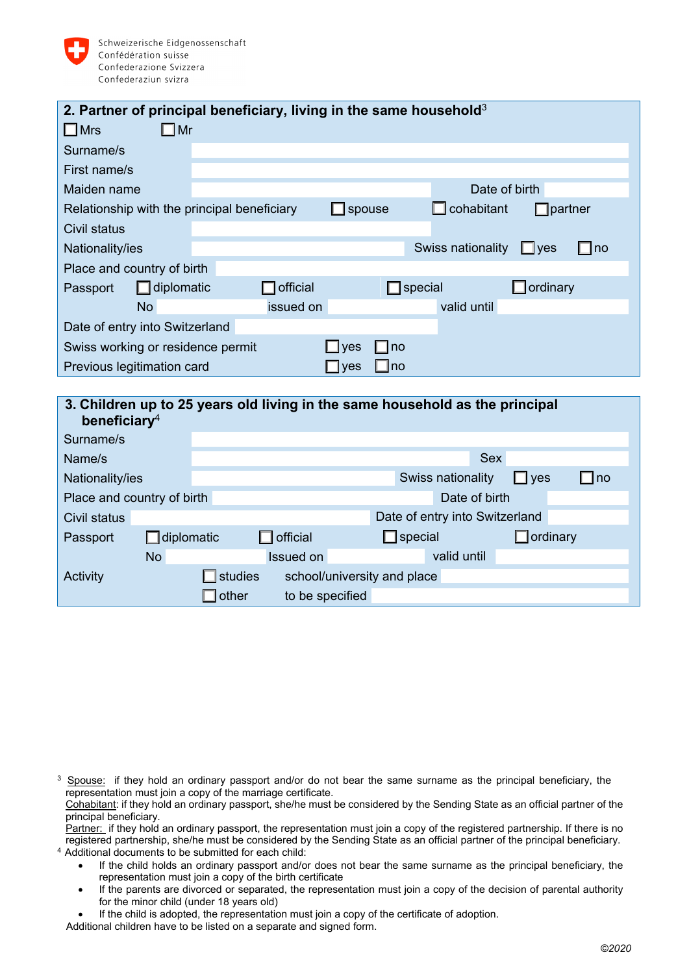

|                                             | 2. Partner of principal beneficiary, living in the same household $3$ |                   |                                        |
|---------------------------------------------|-----------------------------------------------------------------------|-------------------|----------------------------------------|
| $\Box$ Mrs<br>$\Box$ Mr                     |                                                                       |                   |                                        |
| Surname/s                                   |                                                                       |                   |                                        |
| First name/s                                |                                                                       |                   |                                        |
| Maiden name                                 |                                                                       |                   | Date of birth                          |
| Relationship with the principal beneficiary |                                                                       | $\Box$ spouse     | $\mathsf I$ cohabitant<br>partner      |
| Civil status                                |                                                                       |                   |                                        |
| Nationality/ies                             |                                                                       |                   | Swiss nationality<br>$\Box$ yes<br> no |
| Place and country of birth                  |                                                                       |                   |                                        |
| $\Box$ diplomatic<br>Passport               | $\overline{\phantom{a}}$ official                                     | special           | ordinary                               |
| <b>No</b>                                   | issued on                                                             |                   | valid until                            |
| Date of entry into Switzerland              |                                                                       |                   |                                        |
| Swiss working or residence permit           |                                                                       | <b>Ves</b><br>no  |                                        |
| Previous legitimation card                  |                                                                       | Ino<br><b>ves</b> |                                        |
|                                             |                                                                       |                   |                                        |

| beneficiary <sup>4</sup>   |                   |         |                 |                             | 3. Children up to 25 years old living in the same household as the principal |                 |           |
|----------------------------|-------------------|---------|-----------------|-----------------------------|------------------------------------------------------------------------------|-----------------|-----------|
| Surname/s                  |                   |         |                 |                             |                                                                              |                 |           |
| Name/s                     |                   |         |                 |                             | <b>Sex</b>                                                                   |                 |           |
| Nationality/ies            |                   |         |                 |                             | Swiss nationality                                                            | $\Box$ yes      | $\Box$ no |
| Place and country of birth |                   |         |                 |                             | Date of birth                                                                |                 |           |
| Civil status               |                   |         |                 |                             | Date of entry into Switzerland                                               |                 |           |
| Passport                   | $\Box$ diplomatic |         | official        | $\Box$ special              |                                                                              | $\Box$ ordinary |           |
|                            | <b>No</b>         |         | Issued on       |                             | valid until                                                                  |                 |           |
| Activity                   |                   | studies |                 | school/university and place |                                                                              |                 |           |
|                            |                   | other   | to be specified |                             |                                                                              |                 |           |

<sup>3</sup> Spouse: if they hold an ordinary passport and/or do not bear the same surname as the principal beneficiary, the representation must join a copy of the marriage certificate.

Cohabitant: if they hold an ordinary passport, she/he must be considered by the Sending State as an official partner of the principal beneficiary.

Partner: if they hold an ordinary passport, the representation must join a copy of the registered partnership. If there is no registered partnership, she/he must be considered by the Sending State as an official partner of the principal beneficiary.<br><sup>4</sup> Additional documents to be submitted for each child:

- If the child holds an ordinary passport and/or does not bear the same surname as the principal beneficiary, the representation must join a copy of the birth certificate
- If the parents are divorced or separated, the representation must join a copy of the decision of parental authority for the minor child (under 18 years old)

If the child is adopted, the representation must join a copy of the certificate of adoption.

Additional children have to be listed on a separate and signed form.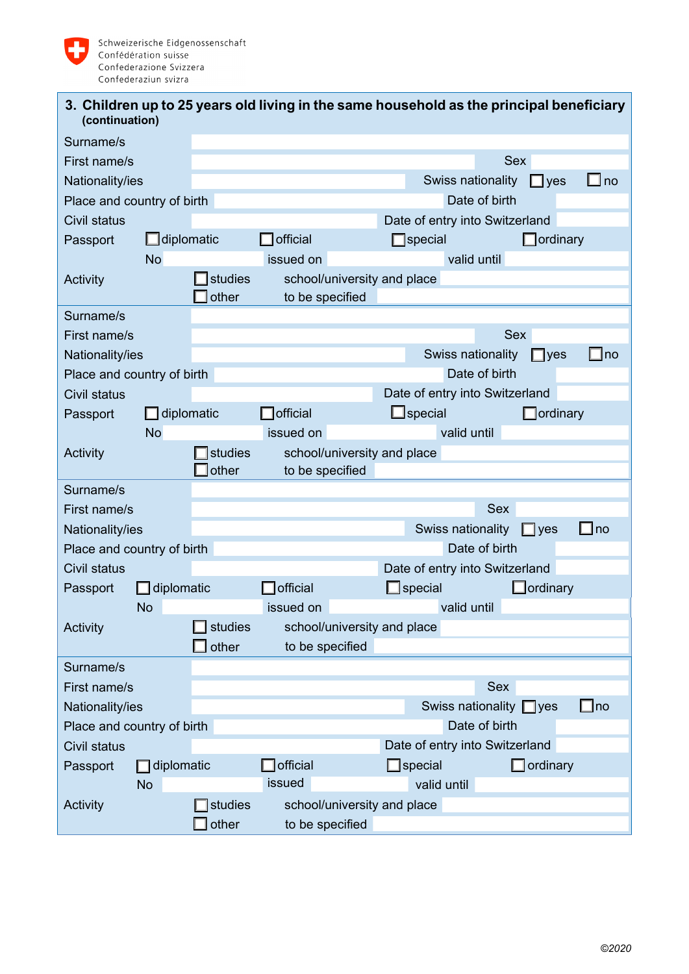

|                | 3. Children up to 25 years old living in the same household as the principal beneficiary |
|----------------|------------------------------------------------------------------------------------------|
| (continuation) |                                                                                          |

| Surname/s                  |                   |                                        |                             |  |                   |                |                                |                   |              |
|----------------------------|-------------------|----------------------------------------|-----------------------------|--|-------------------|----------------|--------------------------------|-------------------|--------------|
| First name/s               |                   |                                        |                             |  |                   |                |                                | <b>Sex</b>        |              |
| Nationality/ies            |                   |                                        |                             |  |                   |                | Swiss nationality              | $\Box$ yes        | $\Box$ no    |
| Place and country of birth |                   |                                        |                             |  |                   |                | Date of birth                  |                   |              |
| Civil status               |                   |                                        |                             |  |                   |                | Date of entry into Switzerland |                   |              |
| Passport                   | $\Box$ diplomatic |                                        | <b>official</b>             |  |                   | special        |                                | ordinary          |              |
|                            | <b>No</b>         |                                        | issued on                   |  |                   |                | valid until                    |                   |              |
| Activity                   |                   | <b>I</b> studies                       | school/university and place |  |                   |                |                                |                   |              |
|                            |                   | other                                  | to be specified             |  |                   |                |                                |                   |              |
| Surname/s                  |                   |                                        |                             |  |                   |                |                                |                   |              |
| First name/s               |                   |                                        |                             |  |                   |                |                                | <b>Sex</b>        |              |
| Nationality/ies            |                   |                                        |                             |  |                   |                | Swiss nationality              | $\Box$ yes        | $\square$ no |
| Place and country of birth |                   |                                        |                             |  |                   |                | Date of birth                  |                   |              |
| Civil status               |                   |                                        |                             |  |                   |                | Date of entry into Switzerland |                   |              |
| Passport                   | diplomatic        |                                        | <b>T</b> official           |  |                   | $\Box$ special |                                | $\Box$ ordinary   |              |
|                            | <b>No</b>         |                                        | issued on                   |  |                   |                | valid until                    |                   |              |
| Activity                   |                   | studies                                | school/university and place |  |                   |                |                                |                   |              |
|                            |                   | other                                  | to be specified             |  |                   |                |                                |                   |              |
| Surname/s                  |                   |                                        |                             |  |                   |                |                                |                   |              |
| First name/s               |                   |                                        |                             |  |                   |                | <b>Sex</b>                     |                   |              |
| Nationality/ies            |                   |                                        |                             |  | Swiss nationality |                | $\Box$ yes                     | $\Box$ no         |              |
| Place and country of birth |                   |                                        | Date of birth               |  |                   |                |                                |                   |              |
| Civil status               |                   |                                        |                             |  |                   |                | Date of entry into Switzerland |                   |              |
| Passport                   | $\Box$ diplomatic |                                        | official                    |  |                   | special        |                                | <b>J</b> ordinary |              |
|                            | <b>No</b>         |                                        | issued on                   |  |                   |                | valid until                    |                   |              |
| Activity                   |                   | studies                                | school/university and place |  |                   |                |                                |                   |              |
|                            |                   | $\mathsf{\overline{\mathsf{J}}}$ other | to be specified             |  |                   |                |                                |                   |              |
| Surname/s                  |                   |                                        |                             |  |                   |                |                                |                   |              |
| First name/s               |                   |                                        |                             |  |                   |                | <b>Sex</b>                     |                   |              |
| Nationality/ies            |                   |                                        |                             |  |                   |                | Swiss nationality $\Box$ yes   |                   | $\square$ no |
| Place and country of birth |                   |                                        |                             |  |                   | Date of birth  |                                |                   |              |
| Civil status               |                   |                                        |                             |  |                   |                | Date of entry into Switzerland |                   |              |
| Passport                   | $\Box$ diplomatic |                                        | official                    |  | $\Box$ special    |                |                                | $\Box$ ordinary   |              |
|                            | <b>No</b>         |                                        | issued                      |  |                   | valid until    |                                |                   |              |
| Activity                   |                   | studies                                | school/university and place |  |                   |                |                                |                   |              |
|                            |                   | other                                  | to be specified             |  |                   |                |                                |                   |              |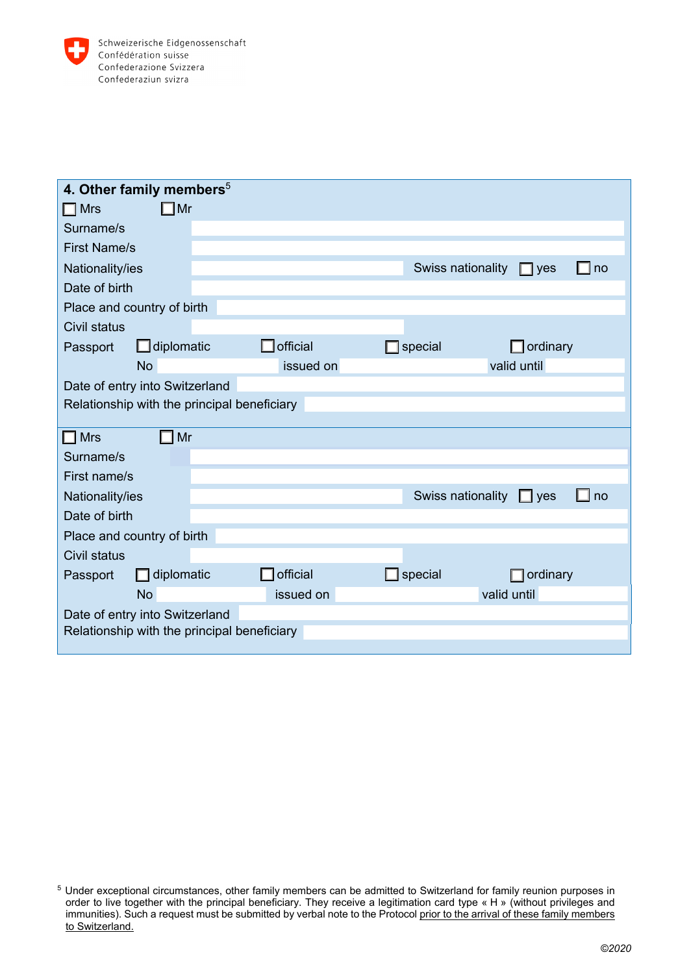

| 4. Other family members <sup>5</sup>        |  |           |                   |                         |  |
|---------------------------------------------|--|-----------|-------------------|-------------------------|--|
| $\Box$ Mr<br>$\Box$ Mrs                     |  |           |                   |                         |  |
| Surname/s                                   |  |           |                   |                         |  |
| <b>First Name/s</b>                         |  |           |                   |                         |  |
| Nationality/ies                             |  |           | Swiss nationality | $\Box$ yes<br>$\Box$ no |  |
| Date of birth                               |  |           |                   |                         |  |
| Place and country of birth                  |  |           |                   |                         |  |
| Civil status                                |  |           |                   |                         |  |
| $\Box$ diplomatic<br>Passport               |  | official  | special           | $\Box$ ordinary         |  |
| <b>No</b>                                   |  | issued on |                   | valid until             |  |
| Date of entry into Switzerland              |  |           |                   |                         |  |
| Relationship with the principal beneficiary |  |           |                   |                         |  |
|                                             |  |           |                   |                         |  |
| $\Box$ Mr<br>$\square$ Mrs                  |  |           |                   |                         |  |
| Surname/s                                   |  |           |                   |                         |  |
| First name/s                                |  |           |                   |                         |  |
| Nationality/ies                             |  |           | Swiss nationality | $\Box$ no<br>$\Box$ yes |  |
| Date of birth                               |  |           |                   |                         |  |
| Place and country of birth                  |  |           |                   |                         |  |
| Civil status                                |  |           |                   |                         |  |
| $\Box$ diplomatic<br>Passport               |  | official  | special           | ordinary                |  |
| <b>No</b>                                   |  | issued on |                   | valid until             |  |
| Date of entry into Switzerland              |  |           |                   |                         |  |
| Relationship with the principal beneficiary |  |           |                   |                         |  |

<sup>5</sup> Under exceptional circumstances, other family members can be admitted to Switzerland for family reunion purposes in order to live together with the principal beneficiary. They receive a legitimation card type « H » (without privileges and immunities). Such a request must be submitted by verbal note to the Protocol prior to the arrival of these family members to Switzerland.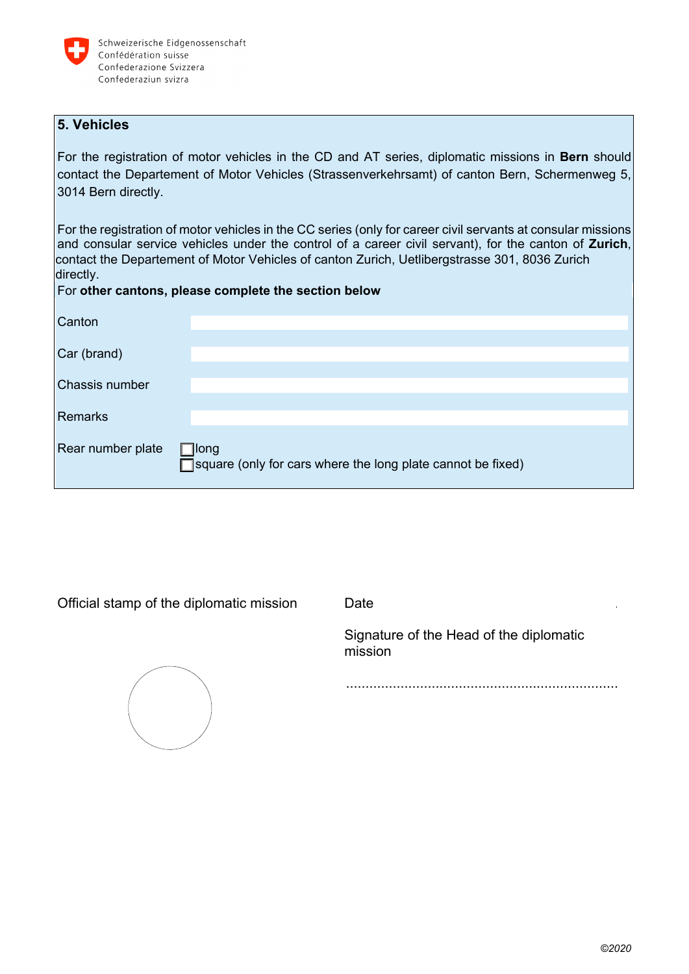

# **5. Vehicles**

For the registration of motor vehicles in the CD and AT series, diplomatic missions in **Bern** should contact the Departement of Motor Vehicles (Strassenverkehrsamt) of canton Bern, Schermenweg 5, 3014 Bern directly.

For the registration of motor vehicles in the CC series (only for career civil servants at consular missions and consular service vehicles under the control of a career civil servant), for the canton of **Zurich**, contact the Departement of Motor Vehicles of canton Zurich, Uetlibergstrasse 301, 8036 Zurich directly.

# For **other cantons, please complete the section below**

| Canton                |                                                                              |
|-----------------------|------------------------------------------------------------------------------|
| Car (brand)           |                                                                              |
| <b>Chassis number</b> |                                                                              |
| Remarks               |                                                                              |
| Rear number plate     | $\Box$ long<br>□ square (only for cars where the long plate cannot be fixed) |

Official stamp of the diplomatic mission Date ...........................................................



Signature of the Head of the diplomatic mission

......................................................................